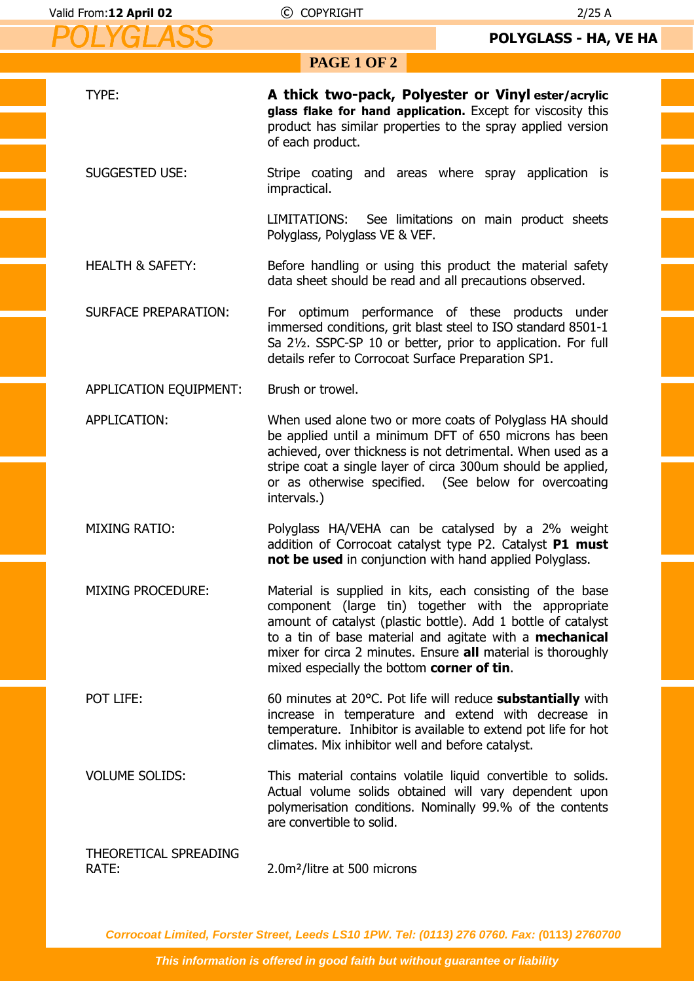| <b>PAGE 1 OF 2</b>             |                                                                                                                                                                                                                                                                                                                                                            |  |
|--------------------------------|------------------------------------------------------------------------------------------------------------------------------------------------------------------------------------------------------------------------------------------------------------------------------------------------------------------------------------------------------------|--|
| TYPE:                          | A thick two-pack, Polyester or Vinyl ester/acrylic<br>glass flake for hand application. Except for viscosity this<br>product has similar properties to the spray applied version<br>of each product.                                                                                                                                                       |  |
| <b>SUGGESTED USE:</b>          | Stripe coating and areas where spray application is<br>impractical.                                                                                                                                                                                                                                                                                        |  |
|                                | LIMITATIONS: See limitations on main product sheets<br>Polyglass, Polyglass VE & VEF.                                                                                                                                                                                                                                                                      |  |
| <b>HEALTH &amp; SAFETY:</b>    | Before handling or using this product the material safety<br>data sheet should be read and all precautions observed.                                                                                                                                                                                                                                       |  |
| <b>SURFACE PREPARATION:</b>    | For optimum performance of these products under<br>immersed conditions, grit blast steel to ISO standard 8501-1<br>Sa 21/2. SSPC-SP 10 or better, prior to application. For full<br>details refer to Corrocoat Surface Preparation SP1.                                                                                                                    |  |
| APPLICATION EQUIPMENT:         | Brush or trowel.                                                                                                                                                                                                                                                                                                                                           |  |
| APPLICATION:                   | When used alone two or more coats of Polyglass HA should<br>be applied until a minimum DFT of 650 microns has been<br>achieved, over thickness is not detrimental. When used as a<br>stripe coat a single layer of circa 300um should be applied,<br>or as otherwise specified. (See below for overcoating<br>intervals.)                                  |  |
| <b>MIXING RATIO:</b>           | Polyglass HA/VEHA can be catalysed by a 2% weight<br>addition of Corrocoat catalyst type P2. Catalyst P1 must<br>not be used in conjunction with hand applied Polyglass.                                                                                                                                                                                   |  |
| <b>MIXING PROCEDURE:</b>       | Material is supplied in kits, each consisting of the base<br>component (large tin) together with the appropriate<br>amount of catalyst (plastic bottle). Add 1 bottle of catalyst<br>to a tin of base material and agitate with a mechanical<br>mixer for circa 2 minutes. Ensure all material is thoroughly<br>mixed especially the bottom corner of tin. |  |
| POT LIFE:                      | 60 minutes at 20°C. Pot life will reduce <b>substantially</b> with<br>increase in temperature and extend with decrease in<br>temperature. Inhibitor is available to extend pot life for hot<br>climates. Mix inhibitor well and before catalyst.                                                                                                           |  |
| <b>VOLUME SOLIDS:</b>          | This material contains volatile liquid convertible to solids.<br>Actual volume solids obtained will vary dependent upon<br>polymerisation conditions. Nominally 99.% of the contents<br>are convertible to solid.                                                                                                                                          |  |
| THEORETICAL SPREADING<br>RATE: | 2.0m <sup>2</sup> /litre at 500 microns                                                                                                                                                                                                                                                                                                                    |  |

**Corrocoat Limited, Forster Street, Leeds LS10 1PW. Tel: (0113) 276 0760. Fax: (0113) 2760700**